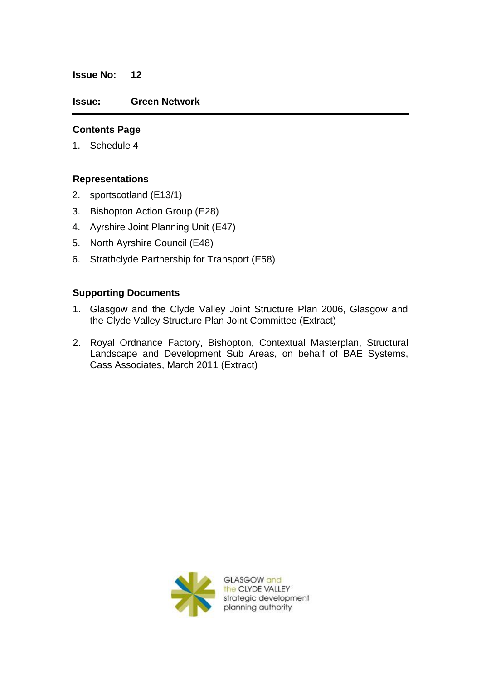#### **Issue No: 12**

#### **Issue: Green Network**

### **Contents Page**

1. Schedule 4

#### **Representations**

- 2. sportscotland (E13/1)
- 3. Bishopton Action Group (E28)
- 4. Ayrshire Joint Planning Unit (E47)
- 5. North Ayrshire Council (E48)
- 6. Strathclyde Partnership for Transport (E58)

#### **Supporting Documents**

- 1. Glasgow and the Clyde Valley Joint Structure Plan 2006, Glasgow and the Clyde Valley Structure Plan Joint Committee (Extract)
- 2. Royal Ordnance Factory, Bishopton, Contextual Masterplan, Structural Landscape and Development Sub Areas, on behalf of BAE Systems, Cass Associates, March 2011 (Extract)



GLASGOW and the CLYDE VALLEY strategic development planning authority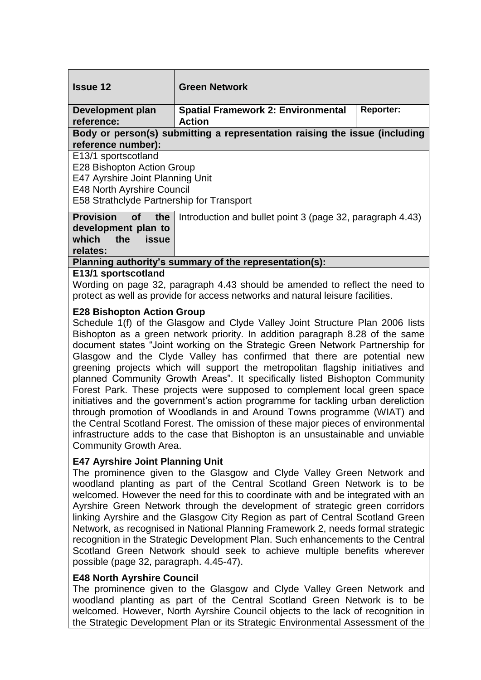| <b>Issue 12</b>                                                            | <b>Green Network</b>                                       |                  |
|----------------------------------------------------------------------------|------------------------------------------------------------|------------------|
| Development plan<br>reference:                                             | <b>Spatial Framework 2: Environmental</b><br><b>Action</b> | <b>Reporter:</b> |
| Body or person(s) submitting a representation raising the issue (including |                                                            |                  |
| reference number):                                                         |                                                            |                  |
| E13/1 sportscotland                                                        |                                                            |                  |
| E28 Bishopton Action Group                                                 |                                                            |                  |
| E47 Ayrshire Joint Planning Unit                                           |                                                            |                  |
| <b>E48 North Ayrshire Council</b>                                          |                                                            |                  |
|                                                                            |                                                            |                  |
| E58 Strathclyde Partnership for Transport                                  |                                                            |                  |
| <b>Provision</b><br>the <b>the</b><br>of <b>o</b>                          | Introduction and bullet point 3 (page 32, paragraph 4.43)  |                  |
| development plan to                                                        |                                                            |                  |
| which the<br>issue                                                         |                                                            |                  |
| relates:                                                                   |                                                            |                  |
| Planning authority's summary of the representation(s):                     |                                                            |                  |

## **E13/1 sportscotland**

Wording on page 32, paragraph 4.43 should be amended to reflect the need to protect as well as provide for access networks and natural leisure facilities.

## **E28 Bishopton Action Group**

Schedule 1(f) of the Glasgow and Clyde Valley Joint Structure Plan 2006 lists Bishopton as a green network priority. In addition paragraph 8.28 of the same document states "Joint working on the Strategic Green Network Partnership for Glasgow and the Clyde Valley has confirmed that there are potential new greening projects which will support the metropolitan flagship initiatives and planned Community Growth Areas". It specifically listed Bishopton Community Forest Park. These projects were supposed to complement local green space initiatives and the government's action programme for tackling urban dereliction through promotion of Woodlands in and Around Towns programme (WIAT) and the Central Scotland Forest. The omission of these major pieces of environmental infrastructure adds to the case that Bishopton is an unsustainable and unviable Community Growth Area.

# **E47 Ayrshire Joint Planning Unit**

The prominence given to the Glasgow and Clyde Valley Green Network and woodland planting as part of the Central Scotland Green Network is to be welcomed. However the need for this to coordinate with and be integrated with an Ayrshire Green Network through the development of strategic green corridors linking Ayrshire and the Glasgow City Region as part of Central Scotland Green Network, as recognised in National Planning Framework 2, needs formal strategic recognition in the Strategic Development Plan. Such enhancements to the Central Scotland Green Network should seek to achieve multiple benefits wherever possible (page 32, paragraph. 4.45-47).

### **E48 North Ayrshire Council**

The prominence given to the Glasgow and Clyde Valley Green Network and woodland planting as part of the Central Scotland Green Network is to be welcomed. However, North Ayrshire Council objects to the lack of recognition in the Strategic Development Plan or its Strategic Environmental Assessment of the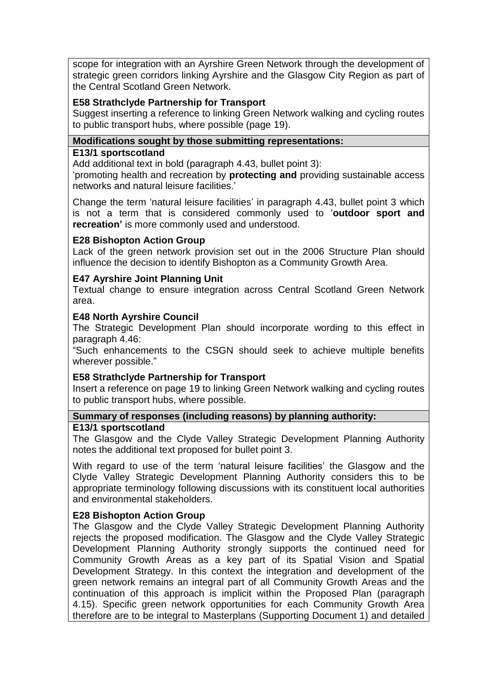scope for integration with an Ayrshire Green Network through the development of strategic green corridors linking Ayrshire and the Glasgow City Region as part of the Central Scotland Green Network.

### **E58 Strathclyde Partnership for Transport**

Suggest inserting a reference to linking Green Network walking and cycling routes to public transport hubs, where possible (page 19).

### **Modifications sought by those submitting representations:**

### **E13/1 sportscotland**

Add additional text in bold (paragraph 4.43, bullet point 3):

"promoting health and recreation by **protecting and** providing sustainable access networks and natural leisure facilities."

Change the term "natural leisure facilities" in paragraph 4.43, bullet point 3 which is not a term that is considered commonly used to "**outdoor sport and recreation'** is more commonly used and understood.

### **E28 Bishopton Action Group**

Lack of the green network provision set out in the 2006 Structure Plan should influence the decision to identify Bishopton as a Community Growth Area.

## **E47 Ayrshire Joint Planning Unit**

Textual change to ensure integration across Central Scotland Green Network area.

### **E48 North Ayrshire Council**

The Strategic Development Plan should incorporate wording to this effect in paragraph 4.46:

"Such enhancements to the CSGN should seek to achieve multiple benefits wherever possible."

### **E58 Strathclyde Partnership for Transport**

Insert a reference on page 19 to linking Green Network walking and cycling routes to public transport hubs, where possible.

### **Summary of responses (including reasons) by planning authority:**

### **E13/1 sportscotland**

The Glasgow and the Clyde Valley Strategic Development Planning Authority notes the additional text proposed for bullet point 3.

With regard to use of the term 'natural leisure facilities' the Glasgow and the Clyde Valley Strategic Development Planning Authority considers this to be appropriate terminology following discussions with its constituent local authorities and environmental stakeholders.

# **E28 Bishopton Action Group**

The Glasgow and the Clyde Valley Strategic Development Planning Authority rejects the proposed modification. The Glasgow and the Clyde Valley Strategic Development Planning Authority strongly supports the continued need for Community Growth Areas as a key part of its Spatial Vision and Spatial Development Strategy. In this context the integration and development of the green network remains an integral part of all Community Growth Areas and the continuation of this approach is implicit within the Proposed Plan (paragraph 4.15). Specific green network opportunities for each Community Growth Area therefore are to be integral to Masterplans (Supporting Document 1) and detailed